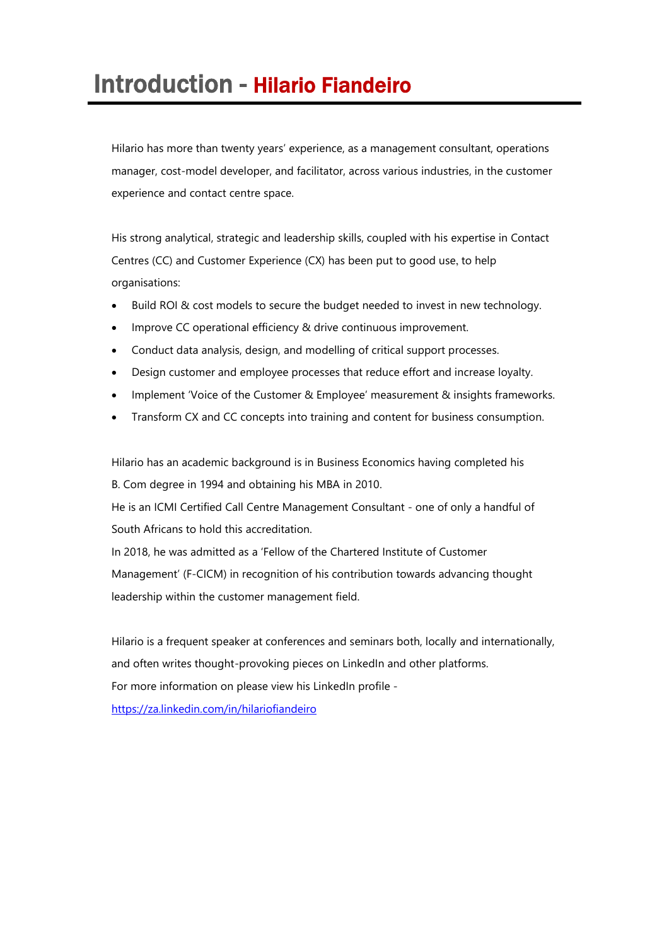## Introduction - Hilario Fiandeiro

Hilario has more than twenty years' experience, as a management consultant, operations manager, cost-model developer, and facilitator, across various industries, in the customer experience and contact centre space.

His strong analytical, strategic and leadership skills, coupled with his expertise in Contact Centres (CC) and Customer Experience (CX) has been put to good use, to help organisations:

- Build ROI & cost models to secure the budget needed to invest in new technology.
- Improve CC operational efficiency & drive continuous improvement.
- Conduct data analysis, design, and modelling of critical support processes.
- Design customer and employee processes that reduce effort and increase loyalty.
- Implement 'Voice of the Customer & Employee' measurement & insights frameworks.
- Transform CX and CC concepts into training and content for business consumption.

Hilario has an academic background is in Business Economics having completed his

B. Com degree in 1994 and obtaining his MBA in 2010.

He is an ICMI Certified Call Centre Management Consultant - one of only a handful of South Africans to hold this accreditation.

In 2018, he was admitted as a 'Fellow of the Chartered Institute of Customer Management' (F-CICM) in recognition of his contribution towards advancing thought leadership within the customer management field.

Hilario is a frequent speaker at conferences and seminars both, locally and internationally, and often writes thought-provoking pieces on LinkedIn and other platforms. For more information on please view his LinkedIn profile https://za.linkedin.com/in/hilariofiandeiro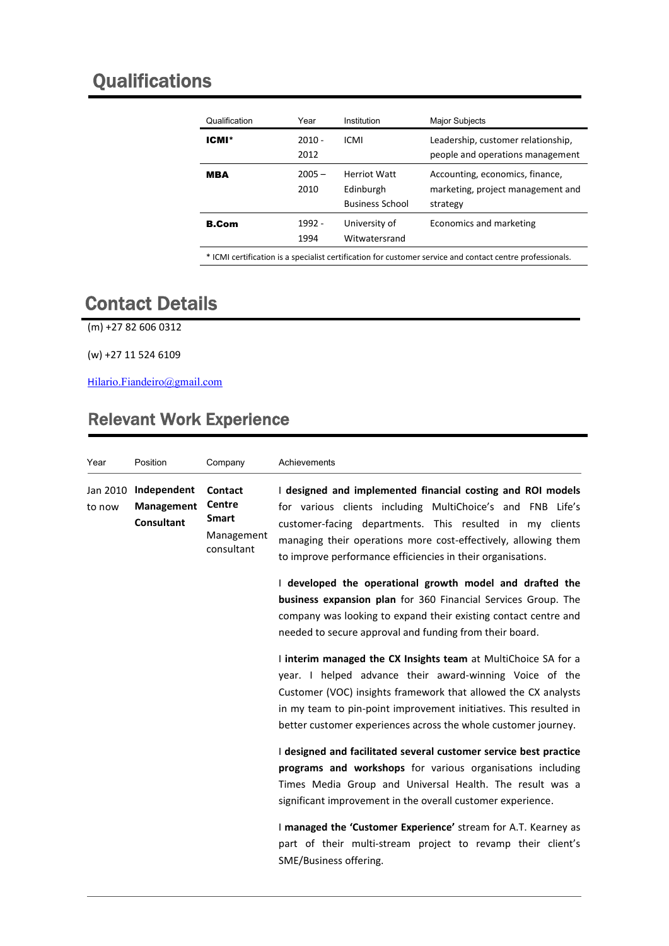## **Qualifications**

| Qualification | Year             | Institution                                                | <b>Major Subjects</b>                                                            |
|---------------|------------------|------------------------------------------------------------|----------------------------------------------------------------------------------|
| <b>ICMI*</b>  | $2010 -$<br>2012 | ICMI                                                       | Leadership, customer relationship,<br>people and operations management           |
| <b>MBA</b>    | $2005 -$<br>2010 | <b>Herriot Watt</b><br>Edinburgh<br><b>Business School</b> | Accounting, economics, finance,<br>marketing, project management and<br>strategy |
| <b>B.Com</b>  | 1992 -<br>1994   | University of<br>Witwatersrand                             | Economics and marketing                                                          |

\* ICMI certification is a specialist certification for customer service and contact centre professionals.

## Contact Details

(m) +27 82 606 0312

(w) +27 11 524 6109

Hilario.Fiandeiro@gmail.com

## Relevant Work Experience

| Year               | Position                                       | Company                                                              | Achievements                                                                                                                                                                                                                                                                                                                       |
|--------------------|------------------------------------------------|----------------------------------------------------------------------|------------------------------------------------------------------------------------------------------------------------------------------------------------------------------------------------------------------------------------------------------------------------------------------------------------------------------------|
| Jan 2010<br>to now | Independent<br>Management<br><b>Consultant</b> | Contact<br><b>Centre</b><br><b>Smart</b><br>Management<br>consultant | I designed and implemented financial costing and ROI models<br>for various clients including MultiChoice's and FNB Life's<br>customer-facing departments. This resulted in my clients<br>managing their operations more cost-effectively, allowing them<br>to improve performance efficiencies in their organisations.             |
|                    |                                                |                                                                      | I developed the operational growth model and drafted the<br><b>business expansion plan</b> for 360 Financial Services Group. The<br>company was looking to expand their existing contact centre and<br>needed to secure approval and funding from their board.                                                                     |
|                    |                                                |                                                                      | I interim managed the CX Insights team at MultiChoice SA for a<br>year. I helped advance their award-winning Voice of the<br>Customer (VOC) insights framework that allowed the CX analysts<br>in my team to pin-point improvement initiatives. This resulted in<br>better customer experiences across the whole customer journey. |
|                    |                                                |                                                                      | I designed and facilitated several customer service best practice<br>programs and workshops for various organisations including<br>Times Media Group and Universal Health. The result was a<br>significant improvement in the overall customer experience.                                                                         |
|                    |                                                |                                                                      | I managed the 'Customer Experience' stream for A.T. Kearney as<br>part of their multi-stream project to revamp their client's<br>SME/Business offering.                                                                                                                                                                            |